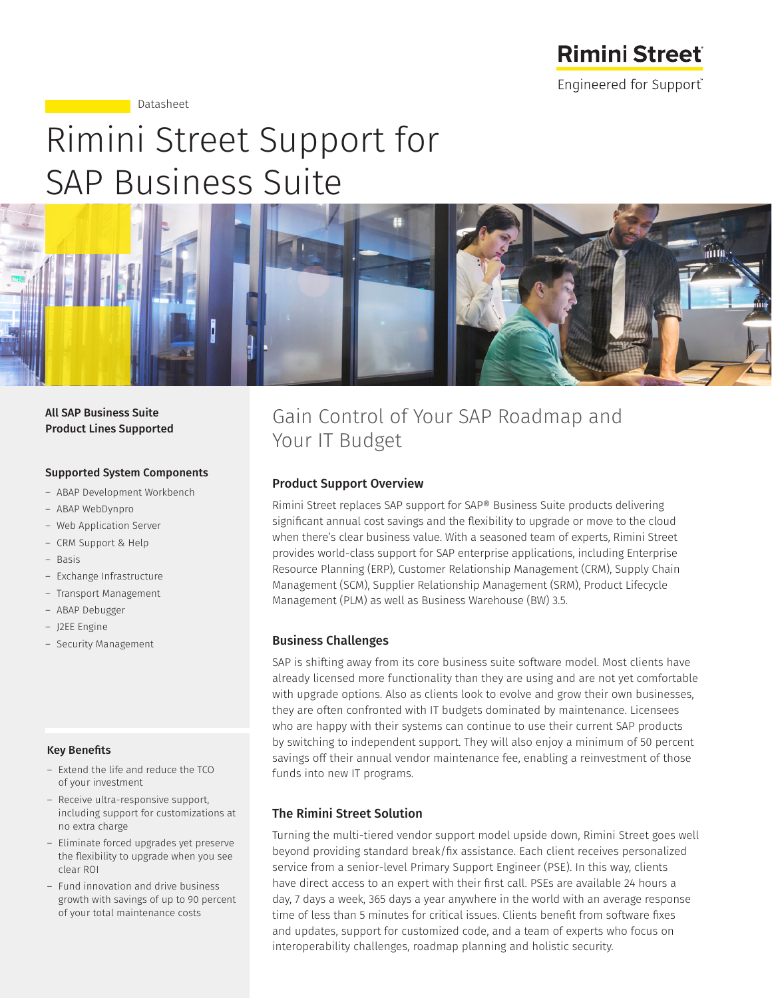

Datasheet

# Rimini Street Support for SAP Business Suite



### All SAP Business Suite Product Lines Supported

### Supported System Components

- ― ABAP Development Workbench
- ― ABAP WebDynpro
- ― Web Application Server
- ― CRM Support & Help
- ― Basis
- ― Exchange Infrastructure
- ― Transport Management
- ― ABAP Debugger
- ― J2EE Engine
- ― Security Management

### Key Benefits

- ― Extend the life and reduce the TCO of your investment
- ― Receive ultra-responsive support, including support for customizations at no extra charge
- ― Eliminate forced upgrades yet preserve the flexibility to upgrade when you see clear ROI
- ― Fund innovation and drive business growth with savings of up to 90 percent of your total maintenance costs

## Gain Control of Your SAP Roadmap and Your IT Budget

### Product Support Overview

Rimini Street replaces SAP support for SAP® Business Suite products delivering significant annual cost savings and the flexibility to upgrade or move to the cloud when there's clear business value. With a seasoned team of experts, Rimini Street provides world-class support for SAP enterprise applications, including Enterprise Resource Planning (ERP), Customer Relationship Management (CRM), Supply Chain Management (SCM), Supplier Relationship Management (SRM), Product Lifecycle Management (PLM) as well as Business Warehouse (BW) 3.5.

### Business Challenges

SAP is shifting away from its core business suite software model. Most clients have already licensed more functionality than they are using and are not yet comfortable with upgrade options. Also as clients look to evolve and grow their own businesses, they are often confronted with IT budgets dominated by maintenance. Licensees who are happy with their systems can continue to use their current SAP products by switching to independent support. They will also enjoy a minimum of 50 percent savings off their annual vendor maintenance fee, enabling a reinvestment of those funds into new IT programs.

### The Rimini Street Solution

Turning the multi-tiered vendor support model upside down, Rimini Street goes well beyond providing standard break/fix assistance. Each client receives personalized service from a senior-level Primary Support Engineer (PSE). In this way, clients have direct access to an expert with their first call. PSEs are available 24 hours a day, 7 days a week, 365 days a year anywhere in the world with an average response time of less than 5 minutes for critical issues. Clients benefit from software fixes and updates, support for customized code, and a team of experts who focus on interoperability challenges, roadmap planning and holistic security.